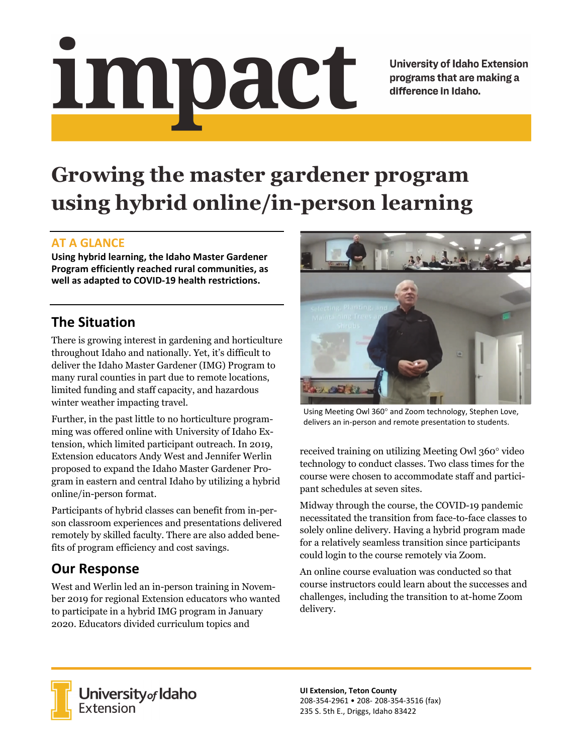# Impact

**University of Idaho Extension** programs that are making a difference in Idaho.

# **Growing the master gardener program using hybrid online/in-person learning**

## **AT A GLANCE**

**Using hybrid learning, the Idaho Master Gardener Program efficiently reached rural communities, as well as adapted to COVID‐19 health restrictions.** 

# **The Situation**

There is growing interest in gardening and horticulture throughout Idaho and nationally. Yet, it's difficult to deliver the Idaho Master Gardener (IMG) Program to many rural counties in part due to remote locations, limited funding and staff capacity, and hazardous winter weather impacting travel.

Further, in the past little to no horticulture programming was offered online with University of Idaho Extension, which limited participant outreach. In 2019, Extension educators Andy West and Jennifer Werlin proposed to expand the Idaho Master Gardener Program in eastern and central Idaho by utilizing a hybrid online/in-person format.

Participants of hybrid classes can benefit from in-person classroom experiences and presentations delivered remotely by skilled faculty. There are also added benefits of program efficiency and cost savings.

# **Our Response**

West and Werlin led an in-person training in November 2019 for regional Extension educators who wanted to participate in a hybrid IMG program in January 2020. Educators divided curriculum topics and



Using Meeting Owl 360° and Zoom technology, Stephen Love, delivers an in‐person and remote presentation to students.

received training on utilizing Meeting Owl 360° video technology to conduct classes. Two class times for the course were chosen to accommodate staff and participant schedules at seven sites.

Midway through the course, the COVID-19 pandemic necessitated the transition from face-to-face classes to solely online delivery. Having a hybrid program made for a relatively seamless transition since participants could login to the course remotely via Zoom.

An online course evaluation was conducted so that course instructors could learn about the successes and challenges, including the transition to at-home Zoom delivery.



University of Idaho<br>Extension

**UI Extension, Teton County**  208‐354‐2961 • 208‐ 208‐354‐3516 (fax) 235 S. 5th E., Driggs, Idaho 83422